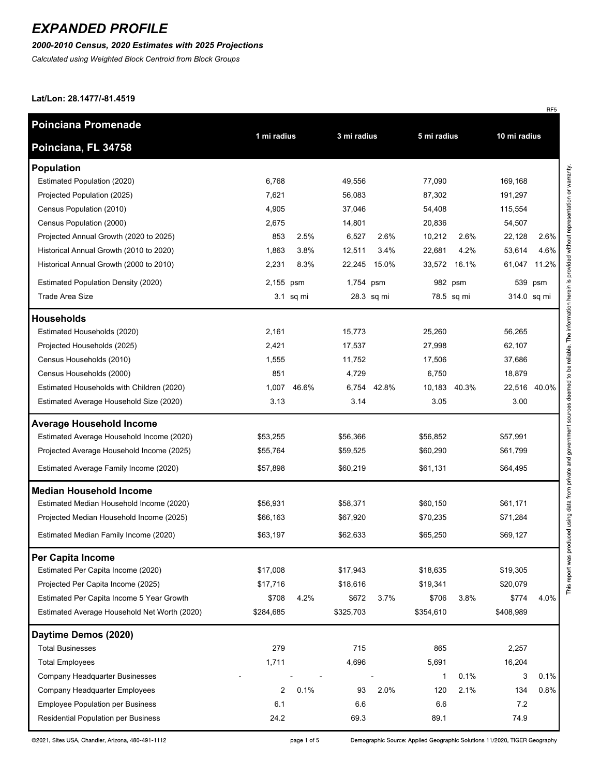### *2000-2010 Census, 2020 Estimates with 2025 Projections*

*Calculated using Weighted Block Centroid from Block Groups*

#### **Lat/Lon: 28.1477/-81.4519**

| <b>Poinciana Promenade</b>                   |                            |           |             |            |              |              |             |              |  |
|----------------------------------------------|----------------------------|-----------|-------------|------------|--------------|--------------|-------------|--------------|--|
| Poinciana, FL 34758                          | 1 mi radius<br>3 mi radius |           | 5 mi radius |            | 10 mi radius |              |             |              |  |
| <b>Population</b>                            |                            |           |             |            |              |              |             |              |  |
| Estimated Population (2020)                  | 6,768                      |           | 49,556      |            | 77,090       |              | 169,168     |              |  |
| Projected Population (2025)                  | 7,621                      |           | 56,083      |            | 87,302       |              | 191,297     |              |  |
| Census Population (2010)                     | 4,905                      |           | 37,046      |            | 54,408       |              | 115,554     |              |  |
| Census Population (2000)                     | 2,675                      |           | 14,801      |            | 20,836       |              | 54,507      |              |  |
| Projected Annual Growth (2020 to 2025)       | 853                        | 2.5%      | 6,527       | 2.6%       | 10,212       | 2.6%         | 22,128      | 2.6%         |  |
| Historical Annual Growth (2010 to 2020)      | 1,863                      | 3.8%      | 12,511      | 3.4%       | 22,681       | 4.2%         | 53,614      | 4.6%         |  |
| Historical Annual Growth (2000 to 2010)      | 2,231                      | 8.3%      | 22,245      | 15.0%      | 33,572       | 16.1%        | 61,047      | 11.2%        |  |
| <b>Estimated Population Density (2020)</b>   | 2,155 psm                  |           | 1,754 psm   |            |              | 982 psm      |             | 539 psm      |  |
| <b>Trade Area Size</b>                       |                            | 3.1 sq mi |             | 28.3 sq mi |              | 78.5 sq mi   | 314.0 sq mi |              |  |
| <b>Households</b>                            |                            |           |             |            |              |              |             |              |  |
| Estimated Households (2020)                  | 2,161                      |           | 15,773      |            | 25,260       |              | 56,265      |              |  |
| Projected Households (2025)                  | 2,421                      |           | 17,537      |            | 27,998       |              | 62,107      |              |  |
| Census Households (2010)                     | 1,555                      |           | 11,752      |            | 17,506       |              | 37,686      |              |  |
| Census Households (2000)                     | 851                        |           | 4,729       |            | 6,750        |              | 18,879      |              |  |
| Estimated Households with Children (2020)    | 1,007                      | 46.6%     | 6,754       | 42.8%      |              | 10.183 40.3% |             | 22,516 40.0% |  |
| Estimated Average Household Size (2020)      | 3.13                       |           | 3.14        |            | 3.05         |              | 3.00        |              |  |
| <b>Average Household Income</b>              |                            |           |             |            |              |              |             |              |  |
| Estimated Average Household Income (2020)    | \$53,255                   |           | \$56,366    |            | \$56,852     |              | \$57,991    |              |  |
| Projected Average Household Income (2025)    | \$55,764                   |           | \$59,525    |            | \$60,290     |              | \$61,799    |              |  |
| Estimated Average Family Income (2020)       | \$57,898                   |           | \$60,219    |            | \$61,131     |              | \$64,495    |              |  |
| <b>Median Household Income</b>               |                            |           |             |            |              |              |             |              |  |
| Estimated Median Household Income (2020)     | \$56,931                   |           | \$58,371    |            | \$60,150     |              | \$61,171    |              |  |
| Projected Median Household Income (2025)     | \$66,163                   |           | \$67,920    |            | \$70,235     |              | \$71,284    |              |  |
| Estimated Median Family Income (2020)        | \$63,197                   |           | \$62,633    |            | \$65,250     |              | \$69,127    |              |  |
| Per Capita Income                            |                            |           |             |            |              |              |             |              |  |
| Estimated Per Capita Income (2020)           | \$17,008                   |           | \$17,943    |            | \$18,635     |              | \$19,305    |              |  |
| Projected Per Capita Income (2025)           | \$17,716                   |           | \$18,616    |            | \$19,341     |              | \$20,079    |              |  |
| Estimated Per Capita Income 5 Year Growth    | \$708                      | 4.2%      | \$672       | 3.7%       | \$706        | 3.8%         | \$774       | 4.0%         |  |
| Estimated Average Household Net Worth (2020) | \$284,685                  |           | \$325,703   |            | \$354,610    |              | \$408,989   |              |  |
| Daytime Demos (2020)                         |                            |           |             |            |              |              |             |              |  |
| <b>Total Businesses</b>                      | 279                        |           | 715         |            | 865          |              | 2,257       |              |  |
| <b>Total Employees</b>                       | 1,711                      |           | 4,696       |            | 5,691        |              | 16,204      |              |  |
| Company Headquarter Businesses               |                            |           |             |            | 1            | 0.1%         | 3           | 0.1%         |  |
| Company Headquarter Employees                | $\overline{2}$             | 0.1%      | 93          | 2.0%       | 120          | 2.1%         | 134         | 0.8%         |  |
| <b>Employee Population per Business</b>      | 6.1                        |           | 6.6         |            | 6.6          |              | 7.2         |              |  |
| Residential Population per Business          | 24.2                       |           | 69.3        |            | 89.1         |              | 74.9        |              |  |

©2021, Sites USA, Chandler, Arizona, 480-491-1112

Demographic Source: Applied Geographic Solutions 11/2020, TIGER Geography

RF<sub>5</sub>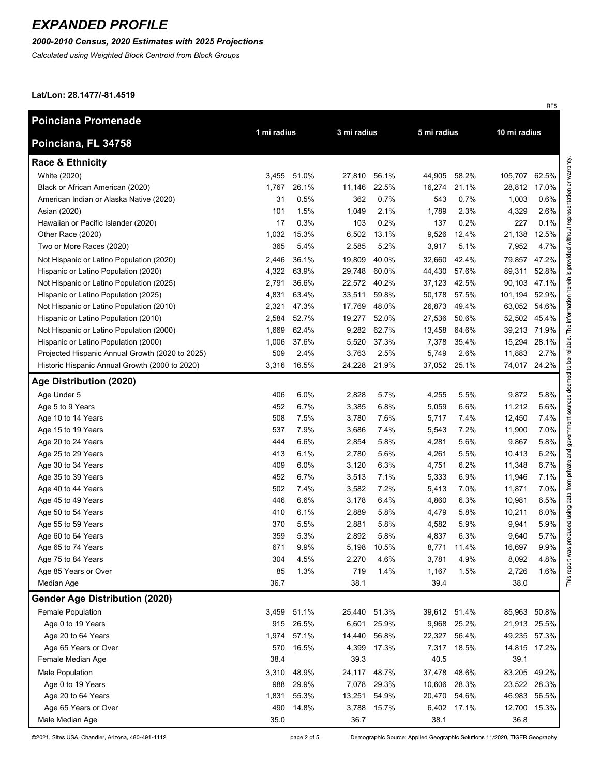### *2000-2010 Census, 2020 Estimates with 2025 Projections*

*Calculated using Weighted Block Centroid from Block Groups*

#### **Lat/Lon: 28.1477/-81.4519**

| <b>Poinciana Promenade</b>                      | 1 mi radius |             | 3 mi radius  |             | 5 mi radius |              |               | 10 mi radius |  |
|-------------------------------------------------|-------------|-------------|--------------|-------------|-------------|--------------|---------------|--------------|--|
| Poinciana, FL 34758                             |             |             |              |             |             |              |               |              |  |
| <b>Race &amp; Ethnicity</b>                     |             |             |              |             |             |              |               |              |  |
| White (2020)                                    | 3,455       | 51.0%       | 27,810       | 56.1%       | 44,905      | 58.2%        | 105,707       | 62.5%        |  |
| Black or African American (2020)                | 1,767       | 26.1%       | 11,146       | 22.5%       | 16,274      | 21.1%        | 28,812        | 17.0%        |  |
| American Indian or Alaska Native (2020)         | 31          | 0.5%        | 362          | 0.7%        | 543         | 0.7%         | 1,003         | 0.6%         |  |
| Asian (2020)                                    | 101         | 1.5%        | 1,049        | 2.1%        | 1,789       | 2.3%         | 4,329         | 2.6%         |  |
| Hawaiian or Pacific Islander (2020)             | 17          | 0.3%        | 103          | 0.2%        | 137         | 0.2%         | 227           | 0.1%         |  |
| Other Race (2020)                               | 1,032       | 15.3%       | 6,502        | 13.1%       | 9,526       | 12.4%        | 21,138        | 12.5%        |  |
| Two or More Races (2020)                        | 365         | 5.4%        | 2,585        | 5.2%        | 3,917       | 5.1%         | 7,952         | 4.7%         |  |
| Not Hispanic or Latino Population (2020)        | 2,446       | 36.1%       | 19,809       | 40.0%       | 32,660      | 42.4%        | 79,857        | 47.2%        |  |
| Hispanic or Latino Population (2020)            | 4,322       | 63.9%       | 29,748       | 60.0%       | 44,430      | 57.6%        | 89,311        | 52.8%        |  |
| Not Hispanic or Latino Population (2025)        | 2,791       | 36.6%       | 22,572 40.2% |             |             | 37,123 42.5% | 90,103 47.1%  |              |  |
| Hispanic or Latino Population (2025)            | 4,831       | 63.4%       | 33,511       | 59.8%       |             | 50,178 57.5% | 101,194 52.9% |              |  |
| Not Hispanic or Latino Population (2010)        | 2,321       | 47.3%       | 17,769       | 48.0%       |             | 26,873 49.4% | 63,052 54.6%  |              |  |
| Hispanic or Latino Population (2010)            | 2,584       | 52.7%       | 19,277       | 52.0%       | 27,536      | 50.6%        | 52,502 45.4%  |              |  |
| Not Hispanic or Latino Population (2000)        | 1,669       | 62.4%       |              | 9,282 62.7% | 13,458      | 64.6%        | 39,213 71.9%  |              |  |
| Hispanic or Latino Population (2000)            | 1,006       | 37.6%       | 5,520        | 37.3%       | 7,378       | 35.4%        | 15,294        | 28.1%        |  |
| Projected Hispanic Annual Growth (2020 to 2025) | 509         | 2.4%        | 3,763        | 2.5%        | 5,749       | 2.6%         | 11,883        | 2.7%         |  |
| Historic Hispanic Annual Growth (2000 to 2020)  |             | 3,316 16.5% | 24,228 21.9% |             |             | 37,052 25.1% | 74,017 24.2%  |              |  |
| Age Distribution (2020)                         |             |             |              |             |             |              |               |              |  |
| Age Under 5                                     | 406         | 6.0%        | 2,828        | 5.7%        | 4,255       | 5.5%         | 9,872         | 5.8%         |  |
| Age 5 to 9 Years                                | 452         | 6.7%        | 3,385        | 6.8%        | 5,059       | 6.6%         | 11,212        | 6.6%         |  |
| Age 10 to 14 Years                              | 508         | 7.5%        | 3,780        | 7.6%        | 5,717       | 7.4%         | 12,450        | 7.4%         |  |
| Age 15 to 19 Years                              | 537         | 7.9%        | 3,686        | 7.4%        | 5,543       | 7.2%         | 11,900        | 7.0%         |  |
| Age 20 to 24 Years                              | 444         | 6.6%        | 2,854        | 5.8%        | 4,281       | 5.6%         | 9,867         | 5.8%         |  |
| Age 25 to 29 Years                              | 413         | 6.1%        | 2,780        | 5.6%        | 4,261       | 5.5%         | 10,413        | 6.2%         |  |
| Age 30 to 34 Years                              | 409         | 6.0%        | 3,120        | 6.3%        | 4,751       | 6.2%         | 11,348        | 6.7%         |  |
| Age 35 to 39 Years                              | 452         | 6.7%        | 3,513        | 7.1%        | 5,333       | 6.9%         | 11,946        | 7.1%         |  |
| Age 40 to 44 Years                              | 502         | 7.4%        | 3,582        | 7.2%        | 5,413       | 7.0%         | 11,871        | 7.0%         |  |
| Age 45 to 49 Years                              | 446         | 6.6%        | 3,178        | 6.4%        | 4,860       | 6.3%         | 10,981        | 6.5%         |  |
| Age 50 to 54 Years                              | 410         | 6.1%        | 2,889        | 5.8%        | 4,479       | 5.8%         | 10,211        | 6.0%         |  |
| Age 55 to 59 Years                              | 370         | 5.5%        | 2,881        | 5.8%        | 4,582       | 5.9%         | 9,941         | 5.9%         |  |
| Age 60 to 64 Years                              | 359         | 5.3%        | 2,892        | 5.8%        | 4,837       | 6.3%         | 9,640         | 5.7%         |  |
| Age 65 to 74 Years                              | 671         | 9.9%        | 5,198        | 10.5%       | 8,771       | 11.4%        | 16,697        | 9.9%         |  |
| Age 75 to 84 Years                              | 304         | 4.5%        | 2,270        | 4.6%        | 3,781       | 4.9%         | 8,092         | 4.8%         |  |
| Age 85 Years or Over                            | 85          | 1.3%        | 719          | 1.4%        | 1,167       | 1.5%         | 2,726         | 1.6%         |  |
| Median Age                                      | 36.7        |             | 38.1         |             | 39.4        |              | 38.0          |              |  |
| <b>Gender Age Distribution (2020)</b>           |             |             |              |             |             |              |               |              |  |
| <b>Female Population</b>                        | 3,459       | 51.1%       | 25,440 51.3% |             |             | 39,612 51.4% | 85,963 50.8%  |              |  |
| Age 0 to 19 Years                               | 915         | 26.5%       |              | 6,601 25.9% |             | 9,968 25.2%  | 21,913 25.5%  |              |  |
| Age 20 to 64 Years                              | 1,974       | 57.1%       | 14,440       | 56.8%       |             | 22,327 56.4% | 49,235 57.3%  |              |  |
| Age 65 Years or Over                            | 570         | 16.5%       | 4,399        | 17.3%       | 7,317       | 18.5%        | 14,815 17.2%  |              |  |
| Female Median Age                               | 38.4        |             | 39.3         |             | 40.5        |              | 39.1          |              |  |
| Male Population                                 | 3,310       | 48.9%       | 24,117       | 48.7%       | 37,478      | 48.6%        | 83,205        | 49.2%        |  |
| Age 0 to 19 Years                               | 988         | 29.9%       | 7,078        | 29.3%       | 10,606      | 28.3%        | 23,522        | 28.3%        |  |
| Age 20 to 64 Years                              | 1,831       | 55.3%       | 13,251       | 54.9%       |             | 20,470 54.6% | 46,983        | 56.5%        |  |
| Age 65 Years or Over                            | 490         | 14.8%       | 3,788        | 15.7%       |             | 6,402 17.1%  | 12,700        | 15.3%        |  |
| Male Median Age                                 | 35.0        |             | 36.7         |             | 38.1        |              | 36.8          |              |  |

page 2 of 5

Demographic Source: Applied Geographic Solutions 11/2020, TIGER Geography

RF5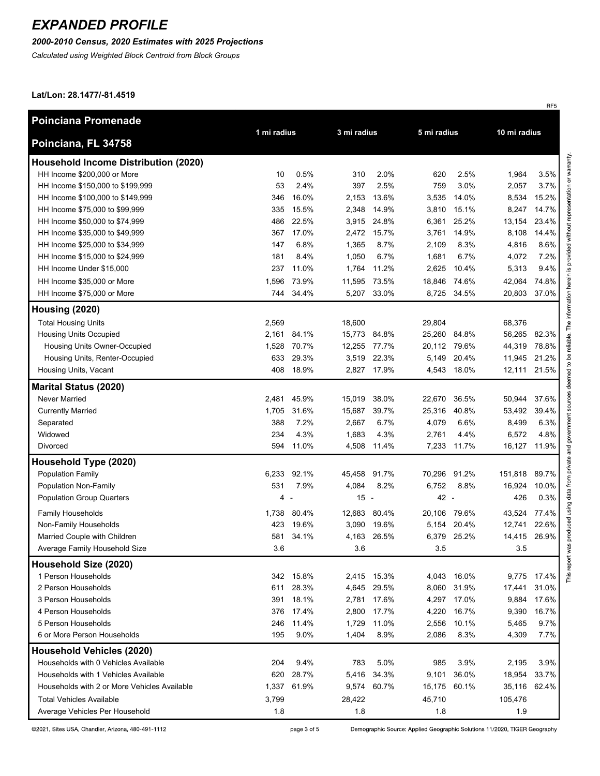### *2000-2010 Census, 2020 Estimates with 2025 Projections*

*Calculated using Weighted Block Centroid from Block Groups*

#### **Lat/Lon: 28.1477/-81.4519**

| <b>Poinciana Promenade</b>                   |             |           |              |             |              |              |         |              |  |  |
|----------------------------------------------|-------------|-----------|--------------|-------------|--------------|--------------|---------|--------------|--|--|
| Poinciana, FL 34758                          | 1 mi radius |           | 3 mi radius  |             |              | 5 mi radius  |         | 10 mi radius |  |  |
| <b>Household Income Distribution (2020)</b>  |             |           |              |             |              |              |         |              |  |  |
| HH Income \$200,000 or More                  | 10          | 0.5%      | 310          | 2.0%        | 620          | 2.5%         | 1,964   | 3.5%         |  |  |
| HH Income \$150,000 to \$199,999             | 53          | 2.4%      | 397          | 2.5%        | 759          | 3.0%         | 2,057   | 3.7%         |  |  |
| HH Income \$100,000 to \$149,999             | 346         | 16.0%     | 2,153        | 13.6%       | 3,535        | 14.0%        | 8,534   | 15.2%        |  |  |
| HH Income \$75,000 to \$99,999               | 335         | 15.5%     | 2,348        | 14.9%       | 3,810        | 15.1%        | 8,247   | 14.7%        |  |  |
| HH Income \$50,000 to \$74,999               | 486         | 22.5%     | 3,915        | 24.8%       | 6,361        | 25.2%        | 13,154  | 23.4%        |  |  |
| HH Income \$35,000 to \$49,999               | 367         | 17.0%     | 2,472        | 15.7%       | 3,761        | 14.9%        | 8,108   | 14.4%        |  |  |
| HH Income \$25,000 to \$34,999               | 147         | 6.8%      | 1,365        | 8.7%        | 2,109        | 8.3%         | 4,816   | 8.6%         |  |  |
| HH Income \$15,000 to \$24,999               | 181         | 8.4%      | 1,050        | 6.7%        | 1,681        | 6.7%         | 4,072   | 7.2%         |  |  |
| HH Income Under \$15,000                     | 237         | 11.0%     | 1,764        | 11.2%       | 2,625        | 10.4%        | 5,313   | 9.4%         |  |  |
| HH Income \$35,000 or More                   | 1,596       | 73.9%     | 11,595 73.5% |             |              | 18,846 74.6% | 42,064  | 74.8%        |  |  |
| HH Income \$75,000 or More                   |             | 744 34.4% |              | 5,207 33.0% |              | 8,725 34.5%  | 20,803  | 37.0%        |  |  |
| Housing (2020)                               |             |           |              |             |              |              |         |              |  |  |
| <b>Total Housing Units</b>                   | 2,569       |           | 18,600       |             | 29,804       |              | 68,376  |              |  |  |
| <b>Housing Units Occupied</b>                | 2,161       | 84.1%     | 15,773 84.8% |             | 25,260 84.8% |              | 56,265  | 82.3%        |  |  |
| Housing Units Owner-Occupied                 | 1,528       | 70.7%     | 12,255 77.7% |             |              | 20,112 79.6% | 44,319  | 78.8%        |  |  |
| Housing Units, Renter-Occupied               | 633         | 29.3%     |              | 3,519 22.3% | 5,149        | 20.4%        | 11,945  | 21.2%        |  |  |
| Housing Units, Vacant                        | 408         | 18.9%     |              | 2,827 17.9% |              | 4,543 18.0%  | 12,111  | 21.5%        |  |  |
| <b>Marital Status (2020)</b>                 |             |           |              |             |              |              |         |              |  |  |
| Never Married                                | 2,481       | 45.9%     | 15,019 38.0% |             | 22,670       | 36.5%        | 50,944  | 37.6%        |  |  |
| <b>Currently Married</b>                     | 1,705       | 31.6%     | 15,687       | 39.7%       | 25,316       | 40.8%        | 53,492  | 39.4%        |  |  |
| Separated                                    | 388         | 7.2%      | 2,667        | 6.7%        | 4,079        | 6.6%         | 8,499   | 6.3%         |  |  |
| Widowed                                      | 234         | 4.3%      | 1,683        | 4.3%        | 2,761        | 4.4%         | 6,572   | 4.8%         |  |  |
| Divorced                                     | 594         | 11.0%     |              | 4,508 11.4% |              | 7,233 11.7%  | 16,127  | 11.9%        |  |  |
| Household Type (2020)                        |             |           |              |             |              |              |         |              |  |  |
| <b>Population Family</b>                     | 6,233       | 92.1%     | 45,458       | 91.7%       | 70,296       | 91.2%        | 151,818 | 89.7%        |  |  |
| <b>Population Non-Family</b>                 | 531         | 7.9%      | 4,084        | 8.2%        | 6,752        | 8.8%         | 16,924  | 10.0%        |  |  |
| <b>Population Group Quarters</b>             | 4           |           | $15 -$       |             | 42 -         |              | 426     | 0.3%         |  |  |
| <b>Family Households</b>                     | 1,738       | 80.4%     | 12,683       | 80.4%       | 20,106       | 79.6%        | 43,524  | 77.4%        |  |  |
| Non-Family Households                        | 423         | 19.6%     | 3,090        | 19.6%       | 5,154        | 20.4%        | 12,741  | 22.6%        |  |  |
| Married Couple with Children                 | 581         | 34.1%     | 4,163        | 26.5%       | 6,379        | 25.2%        | 14,415  | 26.9%        |  |  |
| Average Family Household Size                | 3.6         |           | 3.6          |             | $3.5\,$      |              | 3.5     |              |  |  |
| Household Size (2020)                        |             |           |              |             |              |              |         |              |  |  |
| 1 Person Households                          | 342         | 15.8%     |              | 2,415 15.3% | 4,043        | 16.0%        | 9,775   | 17.4%        |  |  |
| 2 Person Households                          | 611         | 28.3%     |              | 4,645 29.5% | 8,060        | 31.9%        | 17,441  | 31.0%        |  |  |
| 3 Person Households                          | 391         | 18.1%     | 2,781        | 17.6%       | 4,297        | 17.0%        | 9,884   | 17.6%        |  |  |
| 4 Person Households                          | 376         | 17.4%     | 2,800        | 17.7%       | 4,220        | 16.7%        | 9,390   | 16.7%        |  |  |
| 5 Person Households                          | 246         | 11.4%     | 1,729        | 11.0%       | 2,556        | 10.1%        | 5,465   | 9.7%         |  |  |
| 6 or More Person Households                  | 195         | 9.0%      | 1,404        | 8.9%        | 2,086        | 8.3%         | 4,309   | 7.7%         |  |  |
| <b>Household Vehicles (2020)</b>             |             |           |              |             |              |              |         |              |  |  |
| Households with 0 Vehicles Available         | 204         | 9.4%      | 783          | 5.0%        | 985          | 3.9%         | 2,195   | 3.9%         |  |  |
| Households with 1 Vehicles Available         | 620         | 28.7%     | 5,416        | 34.3%       | 9,101        | 36.0%        | 18,954  | 33.7%        |  |  |
| Households with 2 or More Vehicles Available | 1,337       | 61.9%     |              | 9,574 60.7% |              | 15,175 60.1% | 35,116  | 62.4%        |  |  |
| <b>Total Vehicles Available</b>              | 3,799       |           | 28,422       |             | 45,710       |              | 105,476 |              |  |  |
| Average Vehicles Per Household               | 1.8         |           | 1.8          |             | 1.8          |              | 1.9     |              |  |  |

©2021, Sites USA, Chandler, Arizona, 480-491-1112

page 3 of 5

Demographic Source: Applied Geographic Solutions 11/2020, TIGER Geography

RF<sub>5</sub>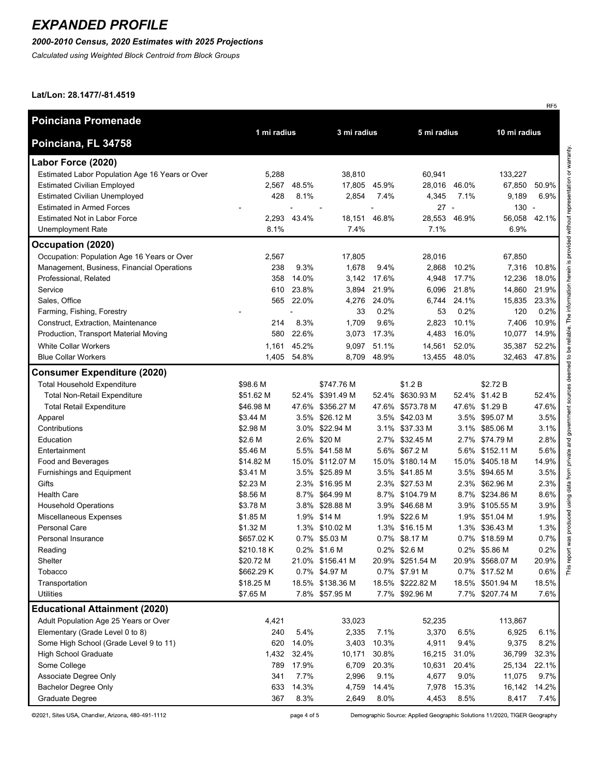### *2000-2010 Census, 2020 Estimates with 2025 Projections*

*Calculated using Weighted Block Centroid from Block Groups*

#### **Lat/Lon: 28.1477/-81.4519**

| 1 mi radius<br>3 mi radius<br>10 mi radius<br>5 mi radius<br>Poinciana, FL 34758<br>Labor Force (2020)<br>Estimated Labor Population Age 16 Years or Over<br>5,288<br>38,810<br>60,941<br>133,227<br><b>Estimated Civilian Employed</b><br>48.5%<br>17,805 45.9%<br>67,850<br>2,567<br>28,016<br>46.0%<br>428<br>8.1%<br><b>Estimated Civilian Unemployed</b><br>2,854<br>7.4%<br>4,345<br>7.1%<br>9,189 | 50.9%<br>6.9%<br>42.1% |
|----------------------------------------------------------------------------------------------------------------------------------------------------------------------------------------------------------------------------------------------------------------------------------------------------------------------------------------------------------------------------------------------------------|------------------------|
|                                                                                                                                                                                                                                                                                                                                                                                                          |                        |
|                                                                                                                                                                                                                                                                                                                                                                                                          |                        |
|                                                                                                                                                                                                                                                                                                                                                                                                          |                        |
|                                                                                                                                                                                                                                                                                                                                                                                                          |                        |
|                                                                                                                                                                                                                                                                                                                                                                                                          |                        |
| 27<br>$130 -$<br><b>Estimated in Armed Forces</b><br>$\overline{\phantom{a}}$                                                                                                                                                                                                                                                                                                                            |                        |
| <b>Estimated Not in Labor Force</b><br>2,293<br>43.4%<br>18,151<br>46.8%<br>28,553<br>46.9%<br>56,058                                                                                                                                                                                                                                                                                                    |                        |
| 8.1%<br>7.4%<br>7.1%<br>6.9%<br><b>Unemployment Rate</b>                                                                                                                                                                                                                                                                                                                                                 |                        |
| Occupation (2020)                                                                                                                                                                                                                                                                                                                                                                                        |                        |
| Occupation: Population Age 16 Years or Over<br>2,567<br>17,805<br>28,016<br>67,850                                                                                                                                                                                                                                                                                                                       |                        |
| Management, Business, Financial Operations<br>238<br>9.3%<br>1,678<br>9.4%<br>10.2%<br>7,316<br>2,868                                                                                                                                                                                                                                                                                                    | 10.8%                  |
| 14.0%<br>17.6%<br>17.7%<br>Professional, Related<br>358<br>3,142<br>4,948<br>12,236                                                                                                                                                                                                                                                                                                                      | 18.0%                  |
| Service<br>23.8%<br>3,894<br>21.9%<br>6,096<br>21.8%<br>14,860<br>610                                                                                                                                                                                                                                                                                                                                    | 21.9%                  |
| Sales, Office<br>565<br>22.0%<br>4,276<br>24.0%<br>6.744<br>24.1%<br>15,835                                                                                                                                                                                                                                                                                                                              | 23.3%                  |
| 33<br>0.2%<br>0.2%<br>120<br>Farming, Fishing, Forestry<br>53<br>$\overline{a}$                                                                                                                                                                                                                                                                                                                          | 0.2%                   |
| 9.6%<br>10.1%<br>Construct, Extraction, Maintenance<br>214<br>8.3%<br>1,709<br>2,823<br>7,406                                                                                                                                                                                                                                                                                                            | 10.9%                  |
| 580<br>22.6%<br>17.3%<br>4,483<br>16.0%<br>Production, Transport Material Moving<br>3,073<br>10,077                                                                                                                                                                                                                                                                                                      | 14.9%                  |
| <b>White Collar Workers</b><br>45.2%<br>51.1%<br>1,161<br>9,097<br>14,561<br>52.0%<br>35,387                                                                                                                                                                                                                                                                                                             | 52.2%                  |
| <b>Blue Collar Workers</b><br>1,405<br>54.8%<br>8,709<br>48.9%<br>13,455<br>48.0%<br>32,463                                                                                                                                                                                                                                                                                                              | 47.8%                  |
| <b>Consumer Expenditure (2020)</b>                                                                                                                                                                                                                                                                                                                                                                       |                        |
| <b>Total Household Expenditure</b><br>\$747.76 M<br>\$1.2 B<br>\$2.72 B<br>\$98.6 M                                                                                                                                                                                                                                                                                                                      |                        |
| <b>Total Non-Retail Expenditure</b><br>\$51.62 M<br>52.4% \$391.49 M<br>52.4% \$630.93 M<br>52.4% \$1.42 B                                                                                                                                                                                                                                                                                               | 52.4%                  |
| <b>Total Retail Expenditure</b><br>\$46.98 M<br>47.6% \$356.27 M<br>47.6% \$573.78 M<br>47.6%<br>\$1.29 B                                                                                                                                                                                                                                                                                                | 47.6%                  |
| 3.5% \$26.12 M<br>3.5% \$42.03 M<br>3.5% \$95.07 M<br>\$3.44 M<br>Apparel                                                                                                                                                                                                                                                                                                                                | 3.5%                   |
| Contributions<br>\$2.98 M<br>3.0% \$22.94 M<br>3.1% \$37.33 M<br>3.1% \$85.06 M                                                                                                                                                                                                                                                                                                                          | 3.1%                   |
| 2.6% \$20 M<br>2.7% \$32.45 M<br>2.7%<br>\$74.79 M<br>Education<br>\$2.6 M                                                                                                                                                                                                                                                                                                                               | 2.8%                   |
| Entertainment<br>\$5.46 M<br>5.5% \$41.58 M<br>5.6% \$67.2 M<br>5.6%<br>\$152.11 M                                                                                                                                                                                                                                                                                                                       | 5.6%                   |
| 15.0% \$112.07 M<br>15.0% \$180.14 M<br>Food and Beverages<br>\$14.82 M<br>15.0%<br>\$405.18 M                                                                                                                                                                                                                                                                                                           | 14.9%                  |
| Furnishings and Equipment<br>\$3.41 M<br>3.5% \$25.89 M<br>3.5% \$41.85 M<br>3.5%<br>\$94.65 M                                                                                                                                                                                                                                                                                                           | 3.5%                   |
| Gifts<br>\$2.23 M<br>2.3% \$27.53 M<br>\$62.96 M<br>2.3% \$16.95 M<br>2.3%                                                                                                                                                                                                                                                                                                                               | 2.3%                   |
| <b>Health Care</b><br>\$8.56 M<br>8.7% \$64.99 M<br>8.7% \$104.79 M<br>8.7%<br>\$234.86 M                                                                                                                                                                                                                                                                                                                | 8.6%                   |
| <b>Household Operations</b><br>\$3.78 M<br>3.8% \$28.88 M<br>3.9% \$46.68 M<br>3.9% \$105.55 M                                                                                                                                                                                                                                                                                                           | 3.9%                   |
| Miscellaneous Expenses<br>\$1.85 M<br>1.9% \$14 M<br>1.9% \$22.6 M<br>1.9% \$51.04 M                                                                                                                                                                                                                                                                                                                     | 1.9%                   |
| Personal Care<br>1.3% \$16.15 M<br>1.3% \$36.43 M<br>\$1.32 M<br>1.3% \$10.02 M                                                                                                                                                                                                                                                                                                                          | 1.3%                   |
| Personal Insurance<br>\$657.02 K<br>0.7% \$5.03 M<br>0.7% \$8.17 M<br>0.7% \$18.59 M                                                                                                                                                                                                                                                                                                                     | 0.7%                   |
| \$210.18K<br>0.2% \$1.6 M<br>0.2% \$2.6 M<br>0.2% \$5.86 M<br>Reading                                                                                                                                                                                                                                                                                                                                    | 0.2%                   |
| Shelter<br>\$20.72 M<br>21.0% \$156.41 M<br>20.9% \$251.54 M<br>20.9% \$568.07 M                                                                                                                                                                                                                                                                                                                         | 20.9%                  |
| Tobacco<br>\$662.29 K<br>0.7% \$4.97 M<br>0.7% \$7.91 M<br>0.7% \$17.52 M                                                                                                                                                                                                                                                                                                                                | 0.6%                   |
| Transportation<br>\$18.25 M<br>18.5% \$138.36 M<br>18.5% \$222.82 M<br>18.5%<br>\$501.94 M                                                                                                                                                                                                                                                                                                               | 18.5%                  |
| \$7.65 M<br>Utilities<br>7.8% \$57.95 M<br>7.7% \$92.96 M<br>7.7% \$207.74 M                                                                                                                                                                                                                                                                                                                             | 7.6%                   |
| <b>Educational Attainment (2020)</b>                                                                                                                                                                                                                                                                                                                                                                     |                        |
| Adult Population Age 25 Years or Over<br>4,421<br>33,023<br>52,235<br>113,867                                                                                                                                                                                                                                                                                                                            |                        |
| Elementary (Grade Level 0 to 8)<br>5.4%<br>7.1%<br>240<br>2,335<br>3,370<br>6.5%<br>6,925                                                                                                                                                                                                                                                                                                                | 6.1%                   |
| Some High School (Grade Level 9 to 11)<br>620<br>14.0%<br>3,403<br>10.3%<br>4,911<br>9.4%<br>9,375                                                                                                                                                                                                                                                                                                       | 8.2%                   |
| <b>High School Graduate</b><br>1,432<br>32.4%<br>10,171<br>30.8%<br>31.0%<br>36,799<br>16,215                                                                                                                                                                                                                                                                                                            | 32.3%                  |
| Some College<br>789<br>17.9%<br>6,709<br>20.3%<br>20.4%<br>25,134<br>10,631                                                                                                                                                                                                                                                                                                                              | 22.1%                  |
| 7.7%<br>9.1%<br>9.0%<br>Associate Degree Only<br>341<br>2,996<br>4,677<br>11,075                                                                                                                                                                                                                                                                                                                         | 9.7%                   |
| 14.3%<br><b>Bachelor Degree Only</b><br>633<br>4,759<br>14.4%<br>15.3%<br>16,142<br>7,978                                                                                                                                                                                                                                                                                                                | 14.2%                  |
| Graduate Degree<br>367<br>8.3%<br>8.0%<br>8.5%<br>2,649<br>4,453<br>8,417                                                                                                                                                                                                                                                                                                                                | 7.4%                   |

©2021, Sites USA, Chandler, Arizona, 480-491-1112

page 4 of 5

Demographic Source: Applied Geographic Solutions 11/2020, TIGER Geography

RF5